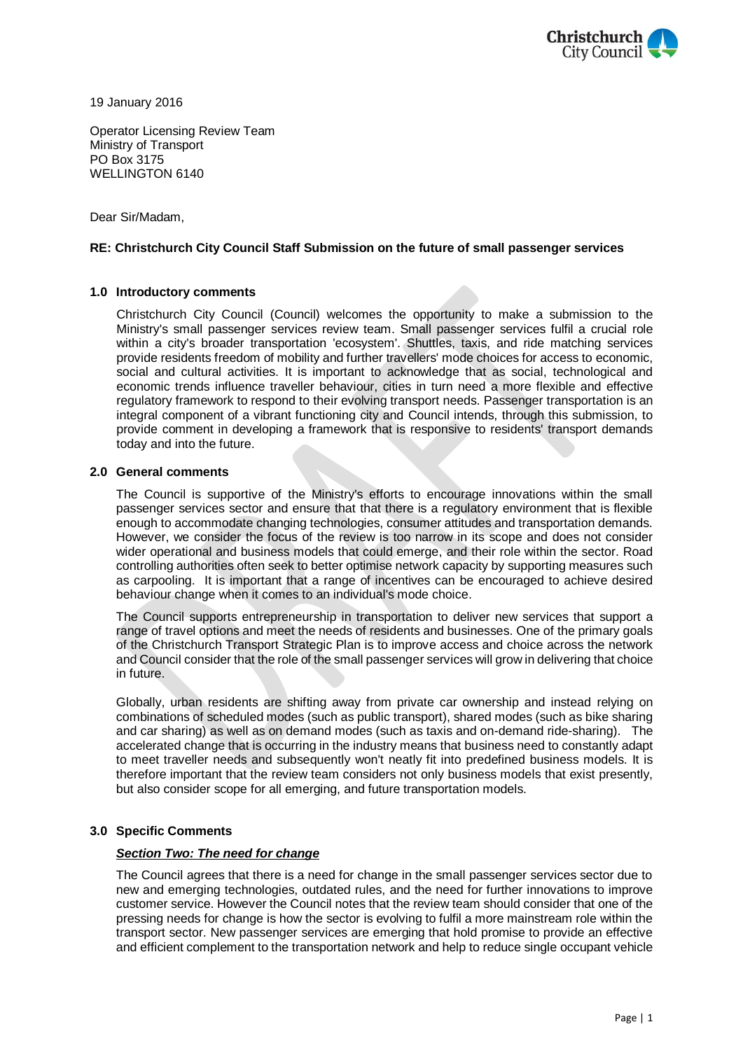

19 January 2016

Operator Licensing Review Team Ministry of Transport PO Box 3175 WELLINGTON 6140

Dear Sir/Madam,

## **RE: Christchurch City Council Staff Submission on the future of small passenger services**

## **1.0 Introductory comments**

Christchurch City Council (Council) welcomes the opportunity to make a submission to the Ministry's small passenger services review team. Small passenger services fulfil a crucial role within a city's broader transportation 'ecosystem'. Shuttles, taxis, and ride matching services provide residents freedom of mobility and further travellers' mode choices for access to economic, social and cultural activities. It is important to acknowledge that as social, technological and economic trends influence traveller behaviour, cities in turn need a more flexible and effective regulatory framework to respond to their evolving transport needs. Passenger transportation is an integral component of a vibrant functioning city and Council intends, through this submission, to provide comment in developing a framework that is responsive to residents' transport demands today and into the future.

#### **2.0 General comments**

The Council is supportive of the Ministry's efforts to encourage innovations within the small passenger services sector and ensure that that there is a regulatory environment that is flexible enough to accommodate changing technologies, consumer attitudes and transportation demands. However, we consider the focus of the review is too narrow in its scope and does not consider wider operational and business models that could emerge, and their role within the sector. Road controlling authorities often seek to better optimise network capacity by supporting measures such as carpooling. It is important that a range of incentives can be encouraged to achieve desired behaviour change when it comes to an individual's mode choice.

The Council supports entrepreneurship in transportation to deliver new services that support a range of travel options and meet the needs of residents and businesses. One of the primary goals of the Christchurch Transport Strategic Plan is to improve access and choice across the network and Council consider that the role of the small passenger services will grow in delivering that choice in future.

Globally, urban residents are shifting away from private car ownership and instead relying on combinations of scheduled modes (such as public transport), shared modes (such as bike sharing and car sharing) as well as on demand modes (such as taxis and on-demand ride-sharing). The accelerated change that is occurring in the industry means that business need to constantly adapt to meet traveller needs and subsequently won't neatly fit into predefined business models. It is therefore important that the review team considers not only business models that exist presently, but also consider scope for all emerging, and future transportation models.

#### **3.0 Specific Comments**

## *Section Two: The need for change*

The Council agrees that there is a need for change in the small passenger services sector due to new and emerging technologies, outdated rules, and the need for further innovations to improve customer service. However the Council notes that the review team should consider that one of the pressing needs for change is how the sector is evolving to fulfil a more mainstream role within the transport sector. New passenger services are emerging that hold promise to provide an effective and efficient complement to the transportation network and help to reduce single occupant vehicle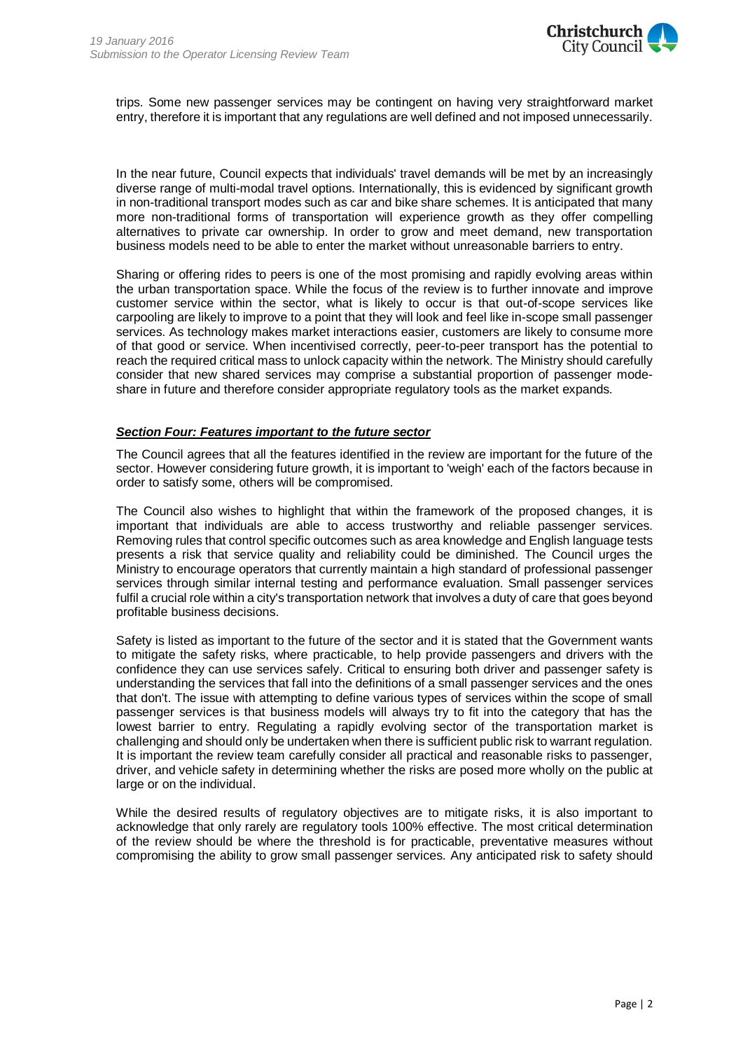

trips. Some new passenger services may be contingent on having very straightforward market entry, therefore it is important that any regulations are well defined and not imposed unnecessarily.

In the near future, Council expects that individuals' travel demands will be met by an increasingly diverse range of multi-modal travel options. Internationally, this is evidenced by significant growth in non-traditional transport modes such as car and bike share schemes. It is anticipated that many more non-traditional forms of transportation will experience growth as they offer compelling alternatives to private car ownership. In order to grow and meet demand, new transportation business models need to be able to enter the market without unreasonable barriers to entry.

Sharing or offering rides to peers is one of the most promising and rapidly evolving areas within the urban transportation space. While the focus of the review is to further innovate and improve customer service within the sector, what is likely to occur is that out-of-scope services like carpooling are likely to improve to a point that they will look and feel like in-scope small passenger services. As technology makes market interactions easier, customers are likely to consume more of that good or service. When incentivised correctly, peer-to-peer transport has the potential to reach the required critical mass to unlock capacity within the network. The Ministry should carefully consider that new shared services may comprise a substantial proportion of passenger modeshare in future and therefore consider appropriate regulatory tools as the market expands.

### *Section Four: Features important to the future sector*

The Council agrees that all the features identified in the review are important for the future of the sector. However considering future growth, it is important to 'weigh' each of the factors because in order to satisfy some, others will be compromised.

The Council also wishes to highlight that within the framework of the proposed changes, it is important that individuals are able to access trustworthy and reliable passenger services. Removing rules that control specific outcomes such as area knowledge and English language tests presents a risk that service quality and reliability could be diminished. The Council urges the Ministry to encourage operators that currently maintain a high standard of professional passenger services through similar internal testing and performance evaluation. Small passenger services fulfil a crucial role within a city's transportation network that involves a duty of care that goes beyond profitable business decisions.

Safety is listed as important to the future of the sector and it is stated that the Government wants to mitigate the safety risks, where practicable, to help provide passengers and drivers with the confidence they can use services safely. Critical to ensuring both driver and passenger safety is understanding the services that fall into the definitions of a small passenger services and the ones that don't. The issue with attempting to define various types of services within the scope of small passenger services is that business models will always try to fit into the category that has the lowest barrier to entry. Regulating a rapidly evolving sector of the transportation market is challenging and should only be undertaken when there is sufficient public risk to warrant regulation. It is important the review team carefully consider all practical and reasonable risks to passenger, driver, and vehicle safety in determining whether the risks are posed more wholly on the public at large or on the individual.

While the desired results of regulatory objectives are to mitigate risks, it is also important to acknowledge that only rarely are regulatory tools 100% effective. The most critical determination of the review should be where the threshold is for practicable, preventative measures without compromising the ability to grow small passenger services. Any anticipated risk to safety should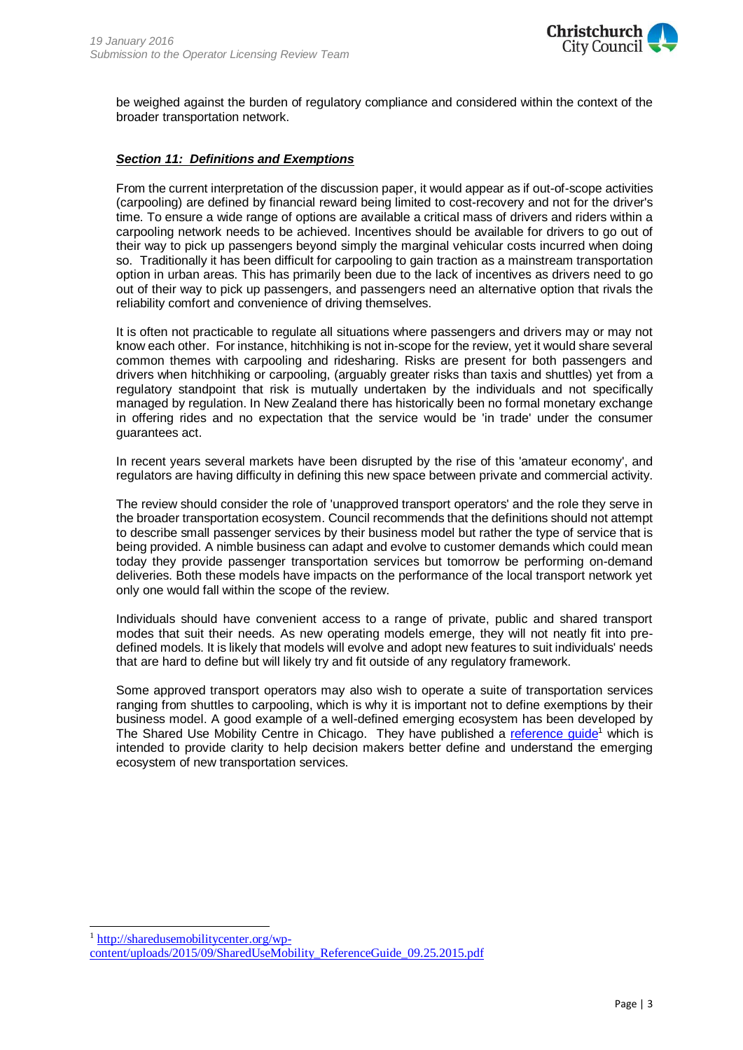

be weighed against the burden of regulatory compliance and considered within the context of the broader transportation network.

## *Section 11: Definitions and Exemptions*

From the current interpretation of the discussion paper, it would appear as if out-of-scope activities (carpooling) are defined by financial reward being limited to cost-recovery and not for the driver's time. To ensure a wide range of options are available a critical mass of drivers and riders within a carpooling network needs to be achieved. Incentives should be available for drivers to go out of their way to pick up passengers beyond simply the marginal vehicular costs incurred when doing so. Traditionally it has been difficult for carpooling to gain traction as a mainstream transportation option in urban areas. This has primarily been due to the lack of incentives as drivers need to go out of their way to pick up passengers, and passengers need an alternative option that rivals the reliability comfort and convenience of driving themselves.

It is often not practicable to regulate all situations where passengers and drivers may or may not know each other. For instance, hitchhiking is not in-scope for the review, yet it would share several common themes with carpooling and ridesharing. Risks are present for both passengers and drivers when hitchhiking or carpooling, (arguably greater risks than taxis and shuttles) yet from a regulatory standpoint that risk is mutually undertaken by the individuals and not specifically managed by regulation. In New Zealand there has historically been no formal monetary exchange in offering rides and no expectation that the service would be 'in trade' under the consumer guarantees act.

In recent years several markets have been disrupted by the rise of this 'amateur economy', and regulators are having difficulty in defining this new space between private and commercial activity.

The review should consider the role of 'unapproved transport operators' and the role they serve in the broader transportation ecosystem. Council recommends that the definitions should not attempt to describe small passenger services by their business model but rather the type of service that is being provided. A nimble business can adapt and evolve to customer demands which could mean today they provide passenger transportation services but tomorrow be performing on-demand deliveries. Both these models have impacts on the performance of the local transport network yet only one would fall within the scope of the review.

Individuals should have convenient access to a range of private, public and shared transport modes that suit their needs. As new operating models emerge, they will not neatly fit into predefined models. It is likely that models will evolve and adopt new features to suit individuals' needs that are hard to define but will likely try and fit outside of any regulatory framework.

Some approved transport operators may also wish to operate a suite of transportation services ranging from shuttles to carpooling, which is why it is important not to define exemptions by their business model. A good example of a well-defined emerging ecosystem has been developed by The Shared Use Mobility Centre in Chicago. They have published a [reference guide](http://sharedusemobilitycenter.org/wp-content/uploads/2015/09/SharedUseMobility_ReferenceGuide_09.25.2015.pdf)<sup>1</sup> which is intended to provide clarity to help decision makers better define and understand the emerging ecosystem of new transportation services.

l

<sup>1</sup> [http://sharedusemobilitycenter.org/wp](http://sharedusemobilitycenter.org/wp-content/uploads/2015/09/SharedUseMobility_ReferenceGuide_09.25.2015.pdf)[content/uploads/2015/09/SharedUseMobility\\_ReferenceGuide\\_09.25.2015.pdf](http://sharedusemobilitycenter.org/wp-content/uploads/2015/09/SharedUseMobility_ReferenceGuide_09.25.2015.pdf)